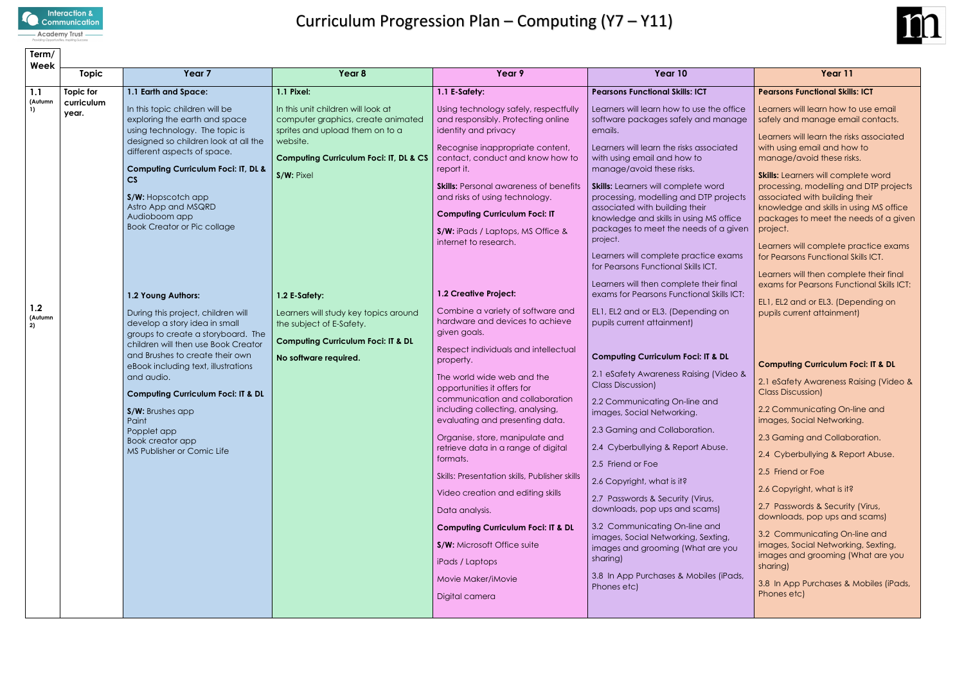

# Curriculum Progression Plan – Computing (Y7 – Y11)

| Term/                     |                     |                                                                                                                                                                                                                                                                                                                                                                                                                                                                                                                                                                                                                                                                                                                                                                    |                                                                                                                                                                                                                                                                                                                                                            |                                                                                                                                                                                                                                                                                                                                                                                                                                                                                                                                                                                                                                                                                                                                                                                                                                                                                                                                                                                |                                                                                                                                                                                                                                                                                                                                                                                                                                                                                                                                                                                                                                                                                                                                                                                                                                                                                                                                                                                                                                                                                                                                       |                                                                                                                                                                                                                                                                                                                                                                                                                                                                                                                                                                                                                                                                                                                                                                                                                                                                                                                                                                                                                                                                              |
|---------------------------|---------------------|--------------------------------------------------------------------------------------------------------------------------------------------------------------------------------------------------------------------------------------------------------------------------------------------------------------------------------------------------------------------------------------------------------------------------------------------------------------------------------------------------------------------------------------------------------------------------------------------------------------------------------------------------------------------------------------------------------------------------------------------------------------------|------------------------------------------------------------------------------------------------------------------------------------------------------------------------------------------------------------------------------------------------------------------------------------------------------------------------------------------------------------|--------------------------------------------------------------------------------------------------------------------------------------------------------------------------------------------------------------------------------------------------------------------------------------------------------------------------------------------------------------------------------------------------------------------------------------------------------------------------------------------------------------------------------------------------------------------------------------------------------------------------------------------------------------------------------------------------------------------------------------------------------------------------------------------------------------------------------------------------------------------------------------------------------------------------------------------------------------------------------|---------------------------------------------------------------------------------------------------------------------------------------------------------------------------------------------------------------------------------------------------------------------------------------------------------------------------------------------------------------------------------------------------------------------------------------------------------------------------------------------------------------------------------------------------------------------------------------------------------------------------------------------------------------------------------------------------------------------------------------------------------------------------------------------------------------------------------------------------------------------------------------------------------------------------------------------------------------------------------------------------------------------------------------------------------------------------------------------------------------------------------------|------------------------------------------------------------------------------------------------------------------------------------------------------------------------------------------------------------------------------------------------------------------------------------------------------------------------------------------------------------------------------------------------------------------------------------------------------------------------------------------------------------------------------------------------------------------------------------------------------------------------------------------------------------------------------------------------------------------------------------------------------------------------------------------------------------------------------------------------------------------------------------------------------------------------------------------------------------------------------------------------------------------------------------------------------------------------------|
| Week                      | <b>Topic</b>        | Year <sub>7</sub>                                                                                                                                                                                                                                                                                                                                                                                                                                                                                                                                                                                                                                                                                                                                                  | Year 8                                                                                                                                                                                                                                                                                                                                                     | Year 9                                                                                                                                                                                                                                                                                                                                                                                                                                                                                                                                                                                                                                                                                                                                                                                                                                                                                                                                                                         | Year 10                                                                                                                                                                                                                                                                                                                                                                                                                                                                                                                                                                                                                                                                                                                                                                                                                                                                                                                                                                                                                                                                                                                               | Year 11                                                                                                                                                                                                                                                                                                                                                                                                                                                                                                                                                                                                                                                                                                                                                                                                                                                                                                                                                                                                                                                                      |
| 1.1                       | Topic for           | 1.1 Earth and Space:                                                                                                                                                                                                                                                                                                                                                                                                                                                                                                                                                                                                                                                                                                                                               | 1.1 Pixel:                                                                                                                                                                                                                                                                                                                                                 | 1.1 E-Safety:                                                                                                                                                                                                                                                                                                                                                                                                                                                                                                                                                                                                                                                                                                                                                                                                                                                                                                                                                                  | <b>Pearsons Functional Skills: ICT</b>                                                                                                                                                                                                                                                                                                                                                                                                                                                                                                                                                                                                                                                                                                                                                                                                                                                                                                                                                                                                                                                                                                | <b>Pearsons Functional Skills: ICT</b>                                                                                                                                                                                                                                                                                                                                                                                                                                                                                                                                                                                                                                                                                                                                                                                                                                                                                                                                                                                                                                       |
| (Autumn<br>1.2<br>(Autumn | curriculum<br>year. | In this topic children will be<br>exploring the earth and space<br>using technology. The topic is<br>designed so children look at all the<br>different aspects of space.<br><b>Computing Curriculum Foci: IT, DL &amp;</b><br>$\mathsf{CS}\,$<br>S/W: Hopscotch app<br>Astro App and MSQRD<br>Audioboom app<br><b>Book Creator or Pic collage</b><br>1.2 Young Authors:<br>During this project, children will<br>develop a story idea in small<br>groups to create a storyboard. The<br>children will then use Book Creator<br>and Brushes to create their own<br>eBook including text, illustrations<br>and audio.<br><b>Computing Curriculum Foci: IT &amp; DL</b><br>S/W: Brushes app<br>Paint<br>Popplet app<br>Book creator app<br>MS Publisher or Comic Life | In this unit children will look at<br>computer graphics, create animated<br>sprites and upload them on to a<br>website.<br><b>Computing Curriculum Foci: IT, DL &amp; CS</b><br>S/W: Pixel<br>1.2 E-Safety:<br>Learners will study key topics around<br>the subject of E-Safety.<br><b>Computing Curriculum Foci: IT &amp; DL</b><br>No software required. | Using technology safely, respectfully<br>and responsibly. Protecting online<br>identity and privacy<br>Recognise inappropriate content,<br>contact, conduct and know how to<br>report it.<br><b>Skills:</b> Personal awareness of benefits<br>and risks of using technology.<br><b>Computing Curriculum Foci: IT</b><br>S/W: iPads / Laptops, MS Office &<br>internet to research.<br>1.2 Creative Project:<br>Combine a variety of software and<br>hardware and devices to achieve<br>given goals.<br>Respect individuals and intellectual<br>property.<br>The world wide web and the<br>opportunities it offers for<br>communication and collaboration<br>including collecting, analysing,<br>evaluating and presenting data.<br>Organise, store, manipulate and<br>retrieve data in a range of digital<br>formats.<br>Skills: Presentation skills, Publisher skills<br>Video creation and editing skills<br>Data analysis.<br><b>Computing Curriculum Foci: IT &amp; DL</b> | Learners will learn how to use the office<br>software packages safely and manage<br>emails.<br>Learners will learn the risks associated<br>with using email and how to<br>manage/avoid these risks.<br><b>Skills:</b> Learners will complete word<br>processing, modelling and DTP projects<br>associated with building their<br>knowledge and skills in using MS office<br>packages to meet the needs of a given<br>project.<br>Learners will complete practice exams<br>for Pearsons Functional Skills ICT.<br>Learners will then complete their final<br>exams for Pearsons Functional Skills ICT:<br>EL1, EL2 and or EL3. (Depending on<br>pupils current attainment)<br><b>Computing Curriculum Foci: IT &amp; DL</b><br>2.1 eSafety Awareness Raising (Video &<br><b>Class Discussion)</b><br>2.2 Communicating On-line and<br>images, Social Networking.<br>2.3 Gaming and Collaboration.<br>2.4 Cyberbullying & Report Abuse.<br>2.5 Friend or Foe<br>2.6 Copyright, what is it?<br>2.7 Passwords & Security (Virus,<br>downloads, pop ups and scams)<br>3.2 Communicating On-line and<br>images, Social Networking, Sexting, | Learners will learn how to use email<br>safely and manage email contacts.<br>Learners will learn the risks associated<br>with using email and how to<br>manage/avoid these risks.<br><b>Skills:</b> Learners will complete word<br>processing, modelling and DTP projects<br>associated with building their<br>knowledge and skills in using MS office<br>packages to meet the needs of a given<br>project.<br>Learners will complete practice exams<br>for Pearsons Functional Skills ICT.<br>Learners will then complete their final<br>exams for Pearsons Functional Skills ICT:<br>EL1, EL2 and or EL3. (Depending on<br>pupils current attainment)<br><b>Computing Curriculum Foci: IT &amp; DL</b><br>2.1 eSafety Awareness Raising (Video &<br><b>Class Discussion)</b><br>2.2 Communicating On-line and<br>images, Social Networking.<br>2.3 Gaming and Collaboration.<br>2.4 Cyberbullying & Report Abuse.<br>2.5 Friend or Foe<br>2.6 Copyright, what is it?<br>2.7 Passwords & Security (Virus,<br>downloads, pop ups and scams)<br>3.2 Communicating On-line and |
|                           |                     |                                                                                                                                                                                                                                                                                                                                                                                                                                                                                                                                                                                                                                                                                                                                                                    |                                                                                                                                                                                                                                                                                                                                                            | <b>S/W:</b> Microsoft Office suite<br>iPads / Laptops<br>Movie Maker/iMovie                                                                                                                                                                                                                                                                                                                                                                                                                                                                                                                                                                                                                                                                                                                                                                                                                                                                                                    | images and grooming (What are you<br>sharing)<br>3.8 In App Purchases & Mobiles (iPads,<br>Phones etc)                                                                                                                                                                                                                                                                                                                                                                                                                                                                                                                                                                                                                                                                                                                                                                                                                                                                                                                                                                                                                                | images, Social Networking, Sexting,<br>images and grooming (What are you<br>sharing)<br>3.8 In App Purchases & Mobiles (iPads,                                                                                                                                                                                                                                                                                                                                                                                                                                                                                                                                                                                                                                                                                                                                                                                                                                                                                                                                               |
|                           |                     |                                                                                                                                                                                                                                                                                                                                                                                                                                                                                                                                                                                                                                                                                                                                                                    |                                                                                                                                                                                                                                                                                                                                                            | Digital camera                                                                                                                                                                                                                                                                                                                                                                                                                                                                                                                                                                                                                                                                                                                                                                                                                                                                                                                                                                 |                                                                                                                                                                                                                                                                                                                                                                                                                                                                                                                                                                                                                                                                                                                                                                                                                                                                                                                                                                                                                                                                                                                                       | Phones etc)                                                                                                                                                                                                                                                                                                                                                                                                                                                                                                                                                                                                                                                                                                                                                                                                                                                                                                                                                                                                                                                                  |

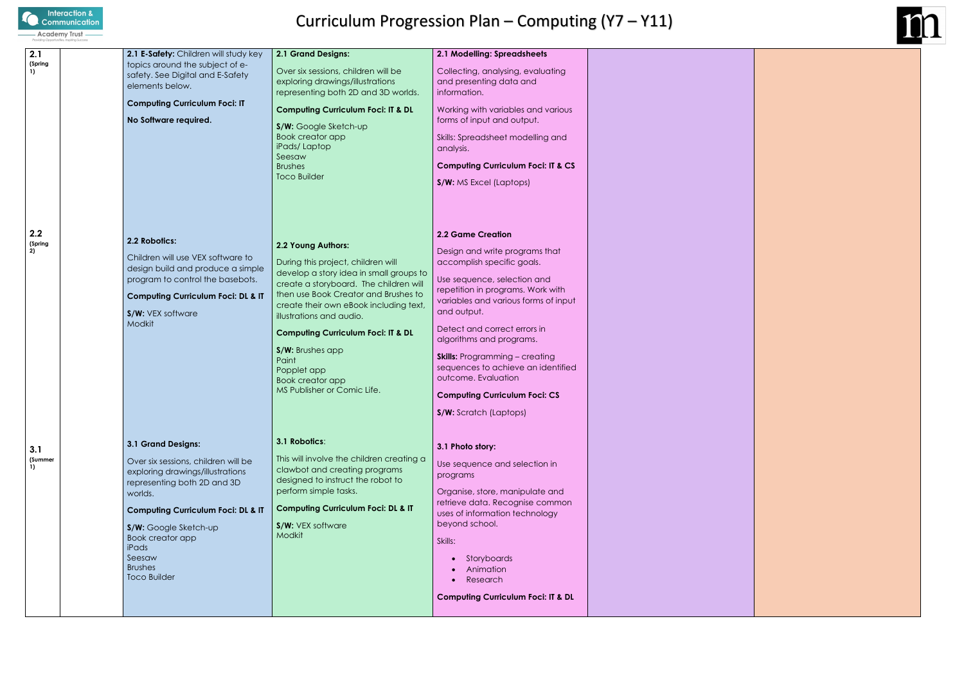

# Curriculum Progression Plan – Computing (Y7 – Y11)

| 2.1<br>(Spring<br>1)<br>2.2<br>(Spring<br>2) | 2.1 E-Safety: Children will study key<br>topics around the subject of e-<br>safety. See Digital and E-Safety<br>elements below.<br><b>Computing Curriculum Foci: IT</b><br>No Software required.<br>2.2 Robotics:<br>Children will use VEX software to<br>design build and produce a simple<br>program to control the basebots.<br><b>Computing Curriculum Foci: DL &amp; IT</b> | 2.1 Grand Designs:<br>Over six sessions, children will be<br>exploring drawings/illustrations<br>representing both 2D and 3D worlds.<br><b>Computing Curriculum Foci: IT &amp; DL</b><br>S/W: Google Sketch-up<br><b>Book creator app</b><br>iPads/Laptop<br>Seesaw<br><b>Brushes</b><br><b>Toco Builder</b><br>2.2 Young Authors:<br>During this project, children will<br>develop a story idea in small groups to<br>create a storyboard. The children will<br>then use Book Creator and Brushes to<br>create their own eBook including text, | 2.1 Modelling: Spreadsheets<br>Collecting, analysing, evaluating<br>and presenting data and<br>information.<br>Working with variables and various<br>forms of input and output.<br>Skills: Spreadsheet modelling and<br>analysis.<br><b>Computing Curriculum Foci: IT &amp; CS</b><br>S/W: MS Excel (Laptops)<br><b>2.2 Game Creation</b><br>Design and write programs that<br>accomplish specific goals.<br>Use sequence, selection and<br>repetition in programs. Work with<br>variables and various forms of input<br>and output. |  |
|----------------------------------------------|----------------------------------------------------------------------------------------------------------------------------------------------------------------------------------------------------------------------------------------------------------------------------------------------------------------------------------------------------------------------------------|-------------------------------------------------------------------------------------------------------------------------------------------------------------------------------------------------------------------------------------------------------------------------------------------------------------------------------------------------------------------------------------------------------------------------------------------------------------------------------------------------------------------------------------------------|--------------------------------------------------------------------------------------------------------------------------------------------------------------------------------------------------------------------------------------------------------------------------------------------------------------------------------------------------------------------------------------------------------------------------------------------------------------------------------------------------------------------------------------|--|
|                                              | S/W: VEX software<br>Modkit                                                                                                                                                                                                                                                                                                                                                      | illustrations and audio.<br><b>Computing Curriculum Foci: IT &amp; DL</b><br>S/W: Brushes app<br>Paint<br>Popplet app<br><b>Book creator app</b><br>MS Publisher or Comic Life.                                                                                                                                                                                                                                                                                                                                                                 | Detect and correct errors in<br>algorithms and programs.<br><b>Skills:</b> Programming - creating<br>sequences to achieve an identified<br>outcome. Evaluation<br><b>Computing Curriculum Foci: CS</b><br>S/W: Scratch (Laptops)                                                                                                                                                                                                                                                                                                     |  |
| 3.1<br>(Summer<br>1)                         | 3.1 Grand Designs:<br>Over six sessions, children will be<br>exploring drawings/illustrations<br>representing both 2D and 3D<br>worlds.<br><b>Computing Curriculum Foci: DL &amp; IT</b><br>S/W: Google Sketch-up<br>Book creator app<br>iPads<br>Seesaw<br><b>Brushes</b><br><b>Toco Builder</b>                                                                                | 3.1 Robotics:<br>This will involve the children creating a<br>clawbot and creating programs<br>designed to instruct the robot to<br>perform simple tasks.<br><b>Computing Curriculum Foci: DL &amp; IT</b><br>S/W: VEX software<br>Modkit                                                                                                                                                                                                                                                                                                       | 3.1 Photo story:<br>Use sequence and selection in<br>programs<br>Organise, store, manipulate and<br>retrieve data. Recognise common<br>uses of information technology<br>beyond school.<br>Skills:<br>Storyboards<br>Animation<br>Research<br><b>Computing Curriculum Foci: IT &amp; DL</b>                                                                                                                                                                                                                                          |  |

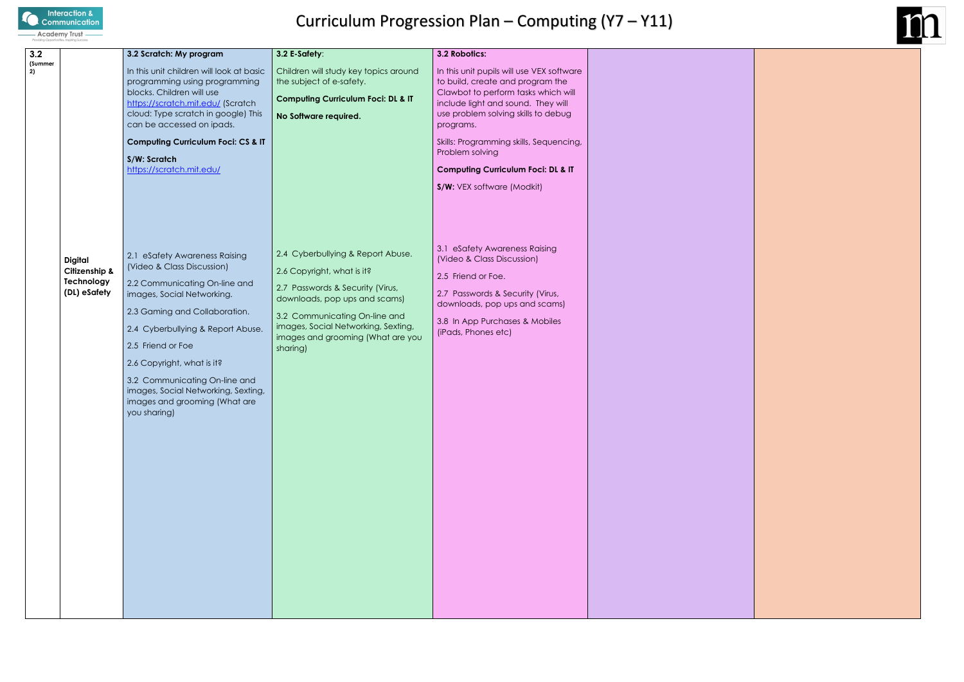

# Curriculum Progression Plan – Computing (Y7 – Y11)

| 3.2           |                                                               | 3.2 Scratch: My program                                                                                                                                                                                                                                                                                                                                                      | 3.2 E-Safety:                                                                                                                                                                                                                                                 | 3.2 Robotics:                                                                                                                                                                                                                                                                                                                                               |  |
|---------------|---------------------------------------------------------------|------------------------------------------------------------------------------------------------------------------------------------------------------------------------------------------------------------------------------------------------------------------------------------------------------------------------------------------------------------------------------|---------------------------------------------------------------------------------------------------------------------------------------------------------------------------------------------------------------------------------------------------------------|-------------------------------------------------------------------------------------------------------------------------------------------------------------------------------------------------------------------------------------------------------------------------------------------------------------------------------------------------------------|--|
| (Summer<br>2) |                                                               | In this unit children will look at basic<br>programming using programming<br>blocks. Children will use<br>https://scratch.mit.edu/ (Scratch<br>cloud: Type scratch in google) This<br>can be accessed on ipads.<br><b>Computing Curriculum Foci: CS &amp; IT</b><br>S/W: Scratch<br>https://scratch.mit.edu/                                                                 | Children will study key topics around<br>the subject of e-safety.<br><b>Computing Curriculum Foci: DL &amp; IT</b><br>No Software required.                                                                                                                   | In this unit pupils will use VEX software<br>to build, create and program the<br>Clawbot to perform tasks which will<br>include light and sound. They will<br>use problem solving skills to debug<br>programs.<br>Skills: Programming skills, Sequencing,<br>Problem solving<br><b>Computing Curriculum Foci: DL &amp; IT</b><br>S/W: VEX software (Modkit) |  |
|               | <b>Digital</b><br>Citizenship &<br>Technology<br>(DL) eSafety | 2.1 eSafety Awareness Raising<br>(Video & Class Discussion)<br>2.2 Communicating On-line and<br>images, Social Networking.<br>2.3 Gaming and Collaboration.<br>2.4 Cyberbullying & Report Abuse.<br>2.5 Friend or Foe<br>2.6 Copyright, what is it?<br>3.2 Communicating On-line and<br>images, Social Networking, Sexting,<br>images and grooming (What are<br>you sharing) | 2.4 Cyberbullying & Report Abuse.<br>2.6 Copyright, what is it?<br>2.7 Passwords & Security (Virus,<br>downloads, pop ups and scams)<br>3.2 Communicating On-line and<br>images, Social Networking, Sexting,<br>images and grooming (What are you<br>sharing) | 3.1 eSafety Awareness Raising<br>(Video & Class Discussion)<br>2.5 Friend or Foe.<br>2.7 Passwords & Security (Virus,<br>downloads, pop ups and scams)<br>3.8 In App Purchases & Mobiles<br>(iPads, Phones etc)                                                                                                                                             |  |